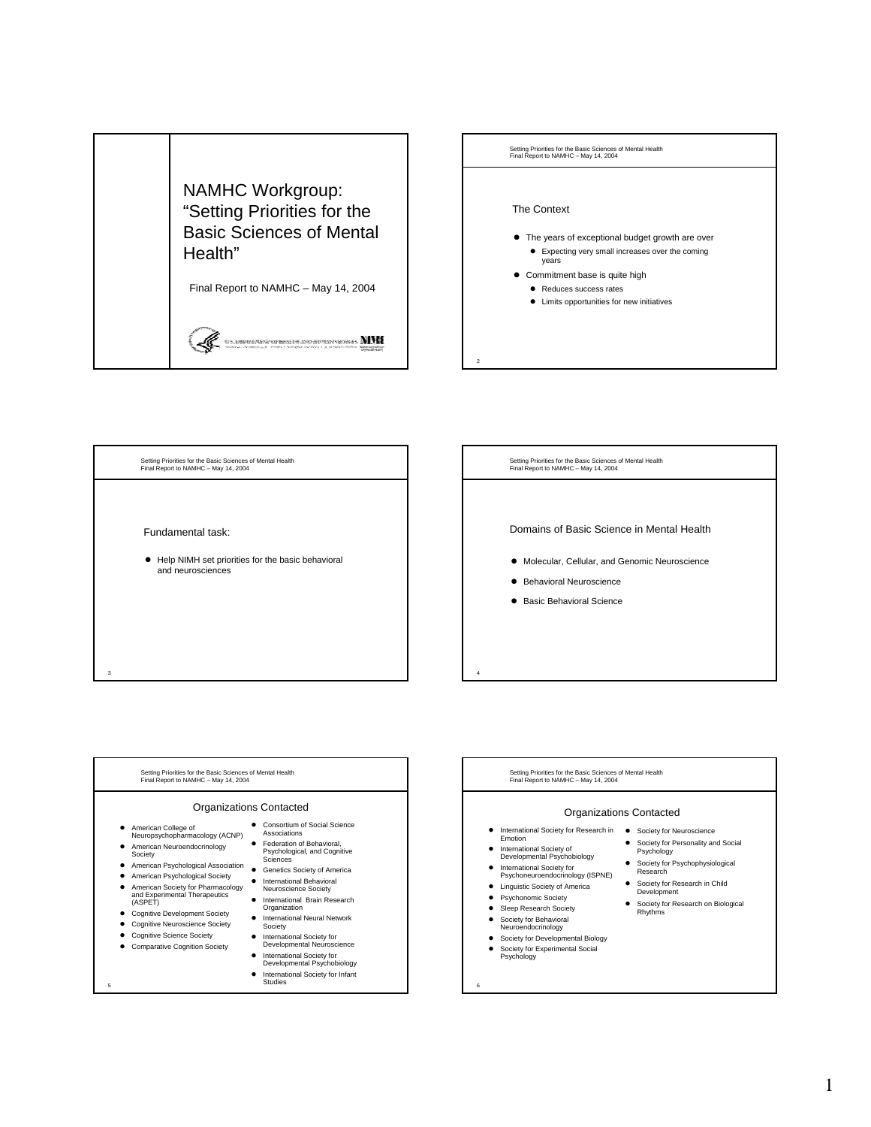

Setting Priorities for the Basic Sciences of Mental Health Final Report to NAMHC – May 14, 2004 Fundamental task:  $\bullet$  Help NIMH set priorities for the basic behavioral and neurosciences

3

Setting Priorities for the Basic Sciences of Mental Health Final Report to NAMHC – May 14, 2004

Domains of Basic Science in Mental Health

- **Molecular, Cellular, and Genomic Neuroscience**
- **•** Behavioral Neuroscience
- **•** Basic Behavioral Science



Setting Priorities for the Basic Sciences of Mental Health Final Report to NAMHC – May 14, 2004

# Organizations Contacted

- International Society for Research in Society for Neuroscience<br>
Emotion
- 

4

- International Society of<br>Developmental Psychobiology
- International Society for<br>
Psychoneuroendocrinology (ISPNE)
- **•** Linguistic Society of America
- Psychonomic Society
- Sleep Research Society
- **•** Society for Behavioral<br>Neuroendocrinology
- **•** Society for Developmental Biology

- Society for Experimental Social<br>Psychology
- **•** Society for Personality and Social Psychology
	- **•** Society for Psychophysiological<br>Research
- **•** Society for Research in Child Development
- **•** Society for Research on Biological Rhythms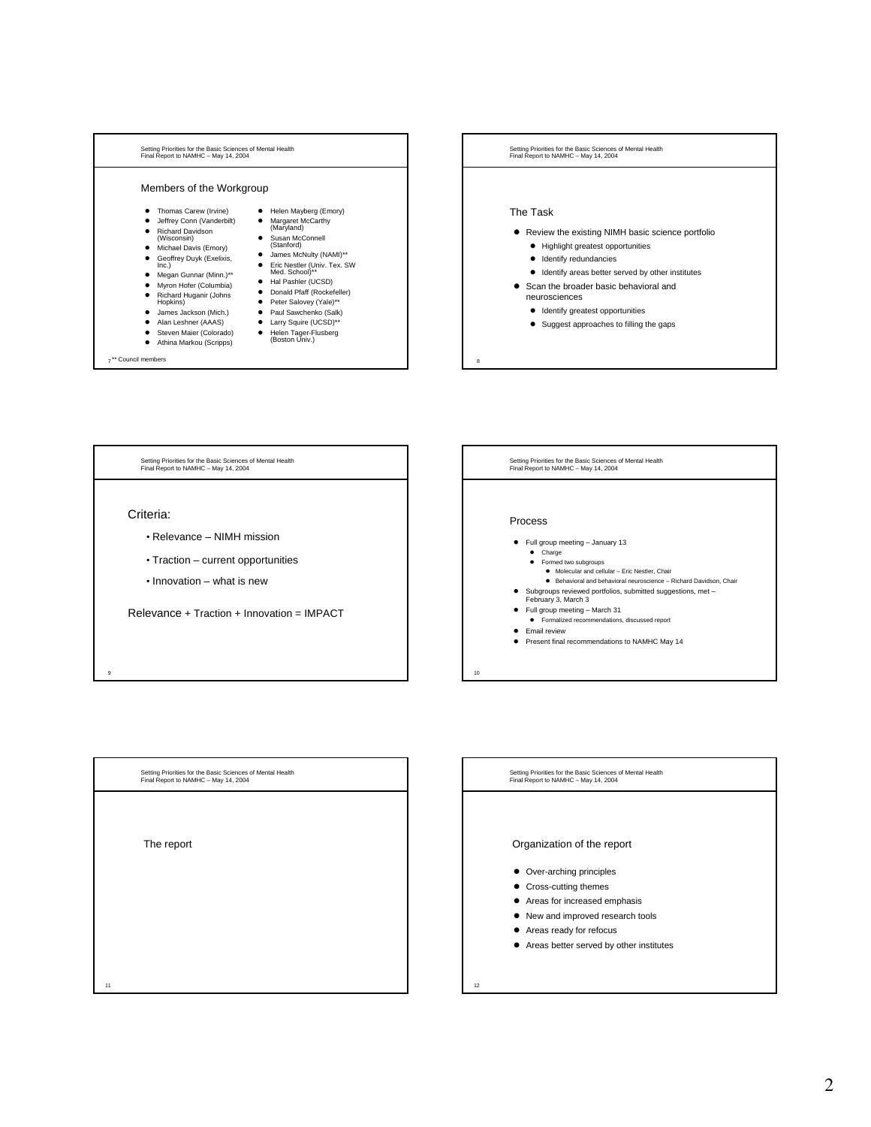







# Organization of the report

- Over-arching principles
- $\bullet$  Cross-cutting themes
- Areas for increased emphasis
- $\bullet$  New and improved research tools
- $\bullet$  Areas ready for refocus
- $\bullet$  Areas better served by other institutes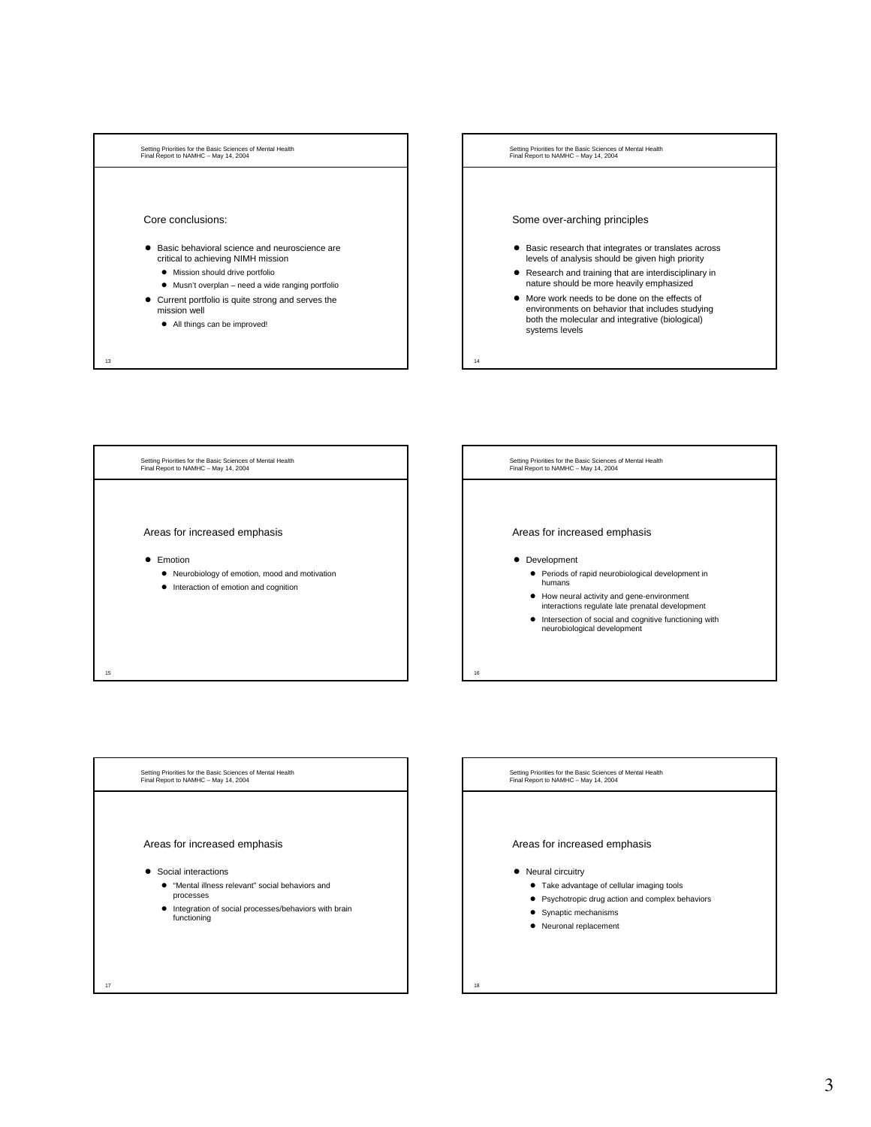





Setting Priorities for the Basic Sciences of Mental Health Final Report to NAMHC – May 14, 2004

## Areas for increased emphasis

### • Neural circuitry

- $\bullet$  Take advantage of cellular imaging tools
- Psychotropic drug action and complex behaviors
- Synaptic mechanisms
- Neuronal replacement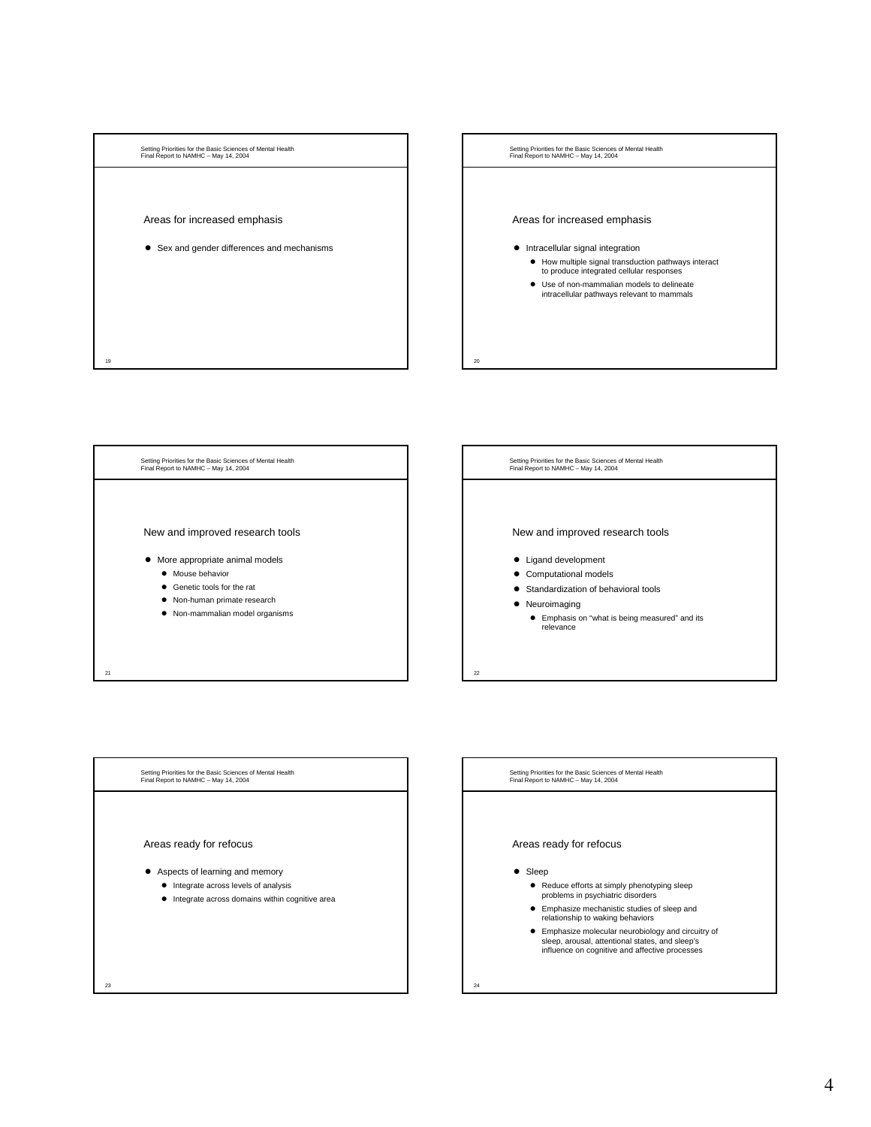







 $\bullet$  Integrate across domains within cognitive area

23

Setting Priorities for the Basic Sciences of Mental Health Final Report to NAMHC – May 14, 2004

# Areas ready for refocus

## $\bullet$  Sleep

- $\bullet$  Reduce efforts at simply phenotyping sleep problems in psychiatric disorders
- $\bullet$  Emphasize mechanistic studies of sleep and relationship to waking behaviors
- **•** Emphasize molecular neurobiology and circuitry of sleep, arousal, attentional states, and sleep's influence on cognitive and affective processes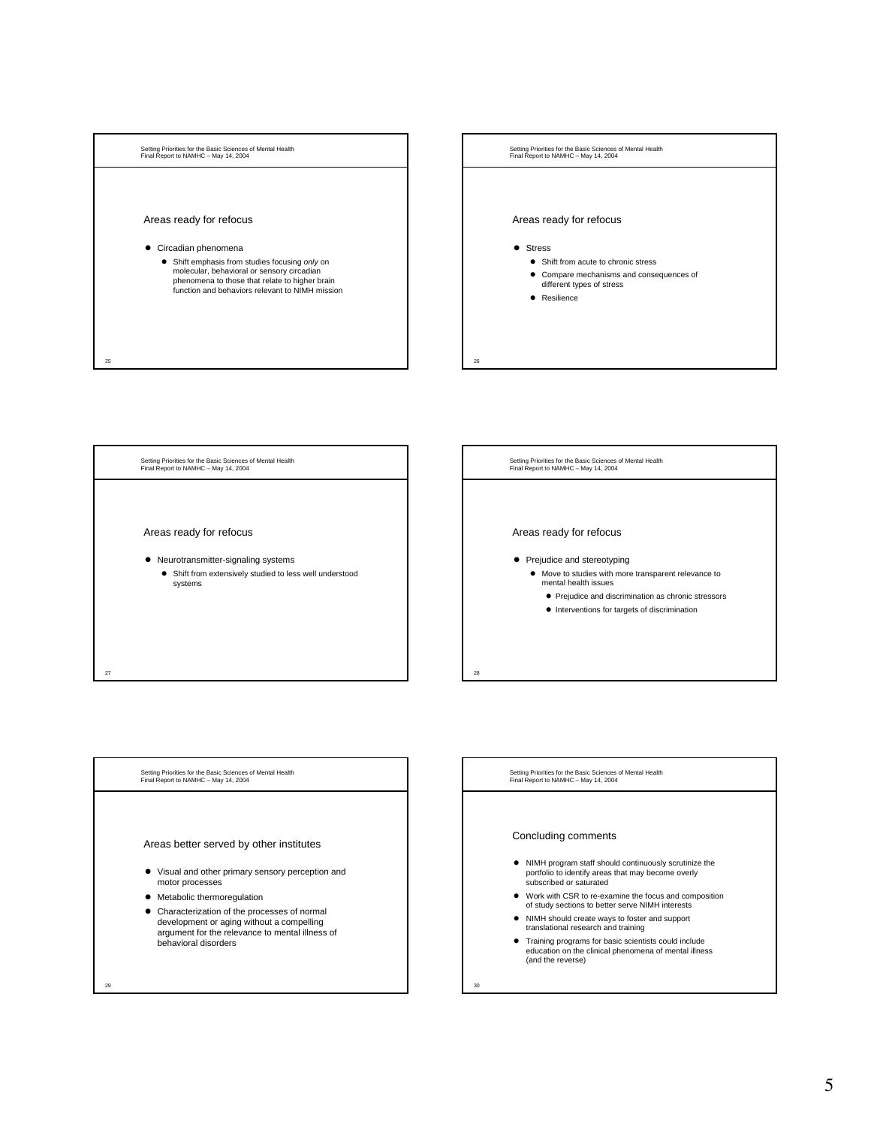





Setting Priorities for the Basic Sciences of Mental Health Final Report to NAMHC – May 14, 2004

# Concluding comments

- NIMH program staff should continuously scrutinize the portfolio to identify areas that may become overly subscribed or saturated
- $\bullet$  Work with CSR to re-examine the focus and composition of study sections to better serve NIMH interests
- $\bullet$  NIMH should create ways to foster and support translational research and training
- z Training programs for basic scientists could include education on the clinical phenomena of mental illness (and the reverse)